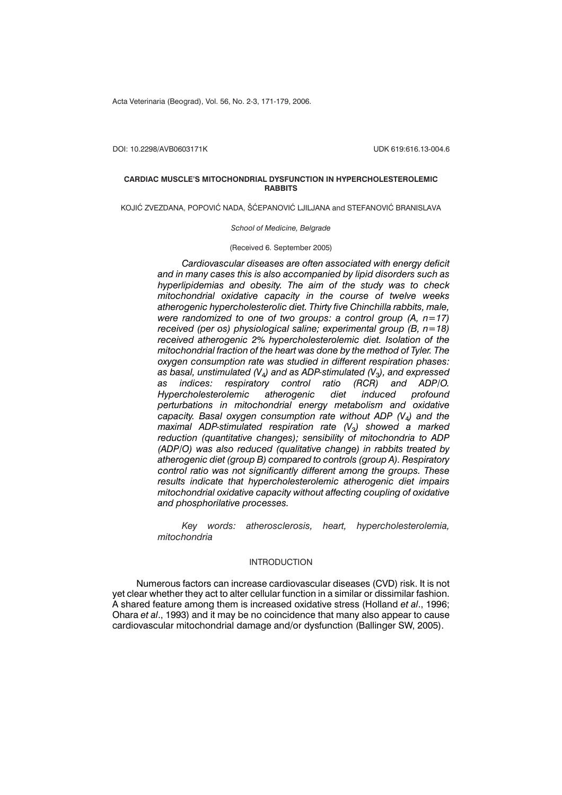Acta Veterinaria (Beograd), Vol. 56, No. 2-3, 171-179, 2006.

DOI: 10.2298/AVB0603171K UDK 619:616.13-004.6

## **CARDIAC MUSCLE'S MITOCHONDRIAL DYSFUNCTION IN HYPERCHOLESTEROLEMIC RABBITS**

KOJIĆ ZVEZDANA, POPOVIĆ NADA, ŠĆEPANOVIĆ LJILJANA and STEFANOVIĆ BRANISLAVA

#### *School of Medicine, Belgrade*

(Received 6. September 2005)

*Cardiovascular diseases are often associated with energy deficit and in many cases this is also accompanied by lipid disorders such as hyperlipidemias and obesity. The aim of the study was to check mitochondrial oxidative capacity in the course of twelve weeks atherogenic hypercholesterolic diet. Thirty five Chinchilla rabbits, male, were randomized to one of two groups: a control group (A, n=17) received (per os) physiological saline; experimental group (B, n=18) received atherogenic 2% hypercholesterolemic diet. Isolation of the mitochondrial fraction of the heart was done by the method of Tyler. The oxygen consumption rate was studied in different respiration phases: as basal, unstimulated (V*4*) and as ADP-stimulated (V*3*), and expressed* as *indices:* respiratory control ratio (RCR) *Hypercholesterolemic atherogenic diet induced profound perturbations in mitochondrial energy metabolism and oxidative capacity. Basal oxygen consumption rate without ADP (V*4*) and the maximal ADP-stimulated respiration rate (V*3*) showed a marked reduction (quantitative changes); sensibility of mitochondria to ADP (ADP/O) was also reduced (qualitative change) in rabbits treated by atherogenic diet (group B) compared to controls (group A). Respiratory control ratio was not significantly different among the groups. These results indicate that hypercholesterolemic atherogenic diet impairs mitochondrial oxidative capacity without affecting coupling of oxidative and phosphorilative processes.*

*Key words: atherosclerosis, heart, hypercholesterolemia, mitochondria*

## INTRODUCTION

Numerous factors can increase cardiovascular diseases (CVD) risk. It is not yet clear whether they act to alter cellular function in a similar or dissimilar fashion. A shared feature among them is increased oxidative stress (Holland *et al*., 1996; Ohara *et al*., 1993) and it may be no coincidence that many also appear to cause cardiovascular mitochondrial damage and/or dysfunction (Ballinger SW, 2005).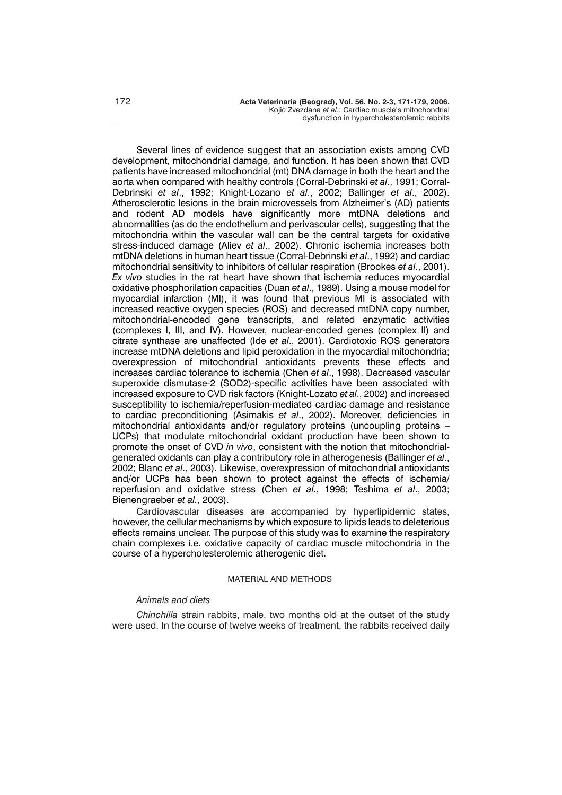Several lines of evidence suggest that an association exists among CVD development, mitochondrial damage, and function. It has been shown that CVD patients have increased mitochondrial (mt) DNA damage in both the heart and the aorta when compared with healthy controls (Corral-Debrinski *et al*., 1991; Corral-Debrinski *et al*., 1992; Knight-Lozano *et al*., 2002; Ballinger *et al*., 2002). Atherosclerotic lesions in the brain microvessels from Alzheimer's (AD) patients and rodent AD models have significantly more mtDNA deletions and abnormalities (as do the endothelium and perivascular cells), suggesting that the mitochondria within the vascular wall can be the central targets for oxidative stress-induced damage (Aliev *et al*., 2002). Chronic ischemia increases both mtDNA deletions in human heart tissue (Corral-Debrinski *et al*., 1992) and cardiac mitochondrial sensitivity to inhibitors of cellular respiration (Brookes *et al*., 2001). *Ex vivo* studies in the rat heart have shown that ischemia reduces myocardial oxidative phosphorilation capacities (Duan *et al*., 1989). Using a mouse model for myocardial infarction (MI), it was found that previous MI is associated with increased reactive oxygen species (ROS) and decreased mtDNA copy number, mitochondrial-encoded gene transcripts, and related enzymatic activities (complexes I, III, and IV). However, nuclear-encoded genes (complex II) and citrate synthase are unaffected (Ide *et al*., 2001). Cardiotoxic ROS generators increase mtDNA deletions and lipid peroxidation in the myocardial mitochondria; overexpression of mitochondrial antioxidants prevents these effects and increases cardiac tolerance to ischemia (Chen *et al*., 1998). Decreased vascular superoxide dismutase-2 (SOD2)-specific activities have been associated with increased exposure to CVD risk factors (Knight-Lozato *et al*., 2002) and increased susceptibility to ischemia/reperfusion-mediated cardiac damage and resistance to cardiac preconditioning (Asimakis *et al*., 2002). Moreover, deficiencies in mitochondrial antioxidants and/or regulatory proteins (uncoupling proteins – UCPs) that modulate mitochondrial oxidant production have been shown to promote the onset of CVD *in vivo*, consistent with the notion that mitochondrialgenerated oxidants can play a contributory role in atherogenesis (Ballinger *et al*., 2002; Blanc *et al*., 2003). Likewise, overexpression of mitochondrial antioxidants and/or UCPs has been shown to protect against the effects of ischemia/ reperfusion and oxidative stress (Chen *et al*., 1998; Teshima *et al*., 2003; Bienengraeber *et al.*, 2003).

Cardiovascular diseases are accompanied by hyperlipidemic states, however, the cellular mechanisms by which exposure to lipids leads to deleterious effects remains unclear. The purpose of this study was to examine the respiratory chain complexes i.e. oxidative capacity of cardiac muscle mitochondria in the course of a hypercholesterolemic atherogenic diet.

# MATERIAL AND METHODS

## *Animals and diets*

*Chinchilla* strain rabbits, male, two months old at the outset of the study were used. In the course of twelve weeks of treatment, the rabbits received daily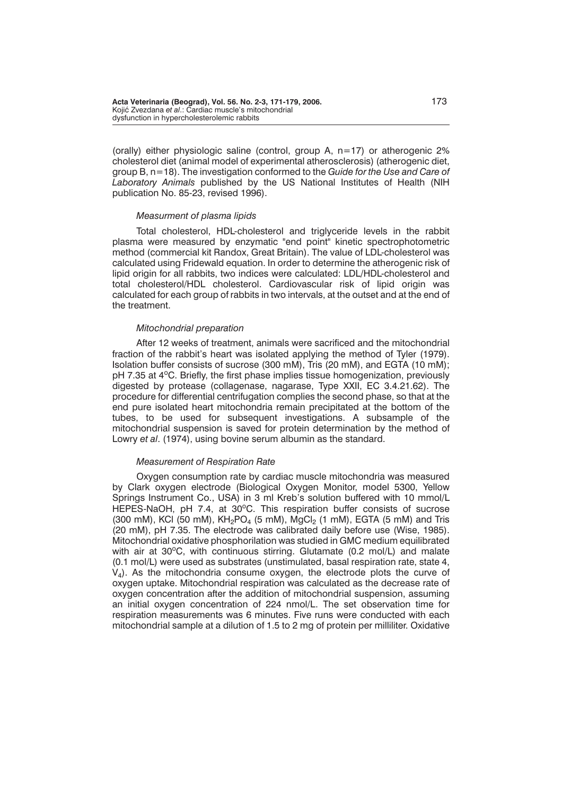(orally) either physiologic saline (control, group A, n=17) or atherogenic 2% cholesterol diet (animal model of experimental atherosclerosis) (atherogenic diet, group B, n=18). The investigation conformed to the *Guide for the Use and Care of Laboratory Animals* published by the US National Institutes of Health (NIH publication No. 85-23, revised 1996).

## *Measurment of plasma lipids*

Total cholesterol, HDL-cholesterol and triglyceride levels in the rabbit plasma were measured by enzymatic "end point" kinetic spectrophotometric method (commercial kit Randox, Great Britain). The value of LDL-cholesterol was calculated using Fridewald equation. In order to determine the atherogenic risk of lipid origin for all rabbits, two indices were calculated: LDL/HDL-cholesterol and total cholesterol/HDL cholesterol. Cardiovascular risk of lipid origin was calculated for each group of rabbits in two intervals, at the outset and at the end of the treatment.

## *Mitochondrial preparation*

After 12 weeks of treatment, animals were sacrificed and the mitochondrial fraction of the rabbit's heart was isolated applying the method of Tyler (1979). Isolation buffer consists of sucrose (300 mM), Tris (20 mM), and EGTA (10 mM); pH 7.35 at 4<sup>o</sup>C. Briefly, the first phase implies tissue homogenization, previously digested by protease (collagenase, nagarase, Type XXII, EC 3.4.21.62). The procedure for differential centrifugation complies the second phase, so that at the end pure isolated heart mitochondria remain precipitated at the bottom of the tubes, to be used for subsequent investigations. A subsample of the mitochondrial suspension is saved for protein determination by the method of Lowry *et al*. (1974), using bovine serum albumin as the standard.

## *Measurement of Respiration Rate*

Oxygen consumption rate by cardiac muscle mitochondria was measured by Clark oxygen electrode (Biological Oxygen Monitor, model 5300, Yellow Springs Instrument Co., USA) in 3 ml Kreb's solution buffered with 10 mmol/L HEPES-NaOH, pH 7.4, at 30°C. This respiration buffer consists of sucrose (300 mM), KCl (50 mM),  $KH_{2}PO_{4}$  (5 mM), MgCl<sub>2</sub> (1 mM), EGTA (5 mM) and Tris (20 mM), pH 7.35. The electrode was calibrated daily before use (Wise, 1985). Mitochondrial oxidative phosphorilation was studied in GMC medium equilibrated with air at 30°C, with continuous stirring. Glutamate (0.2 mol/L) and malate (0.1 mol/L) were used as substrates (unstimulated, basal respiration rate, state 4,  $V<sub>4</sub>$ ). As the mitochondria consume oxygen, the electrode plots the curve of oxygen uptake. Mitochondrial respiration was calculated as the decrease rate of oxygen concentration after the addition of mitochondrial suspension, assuming an initial oxygen concentration of 224 nmol/L. The set observation time for respiration measurements was 6 minutes. Five runs were conducted with each mitochondrial sample at a dilution of 1.5 to 2 mg of protein per milliliter. Oxidative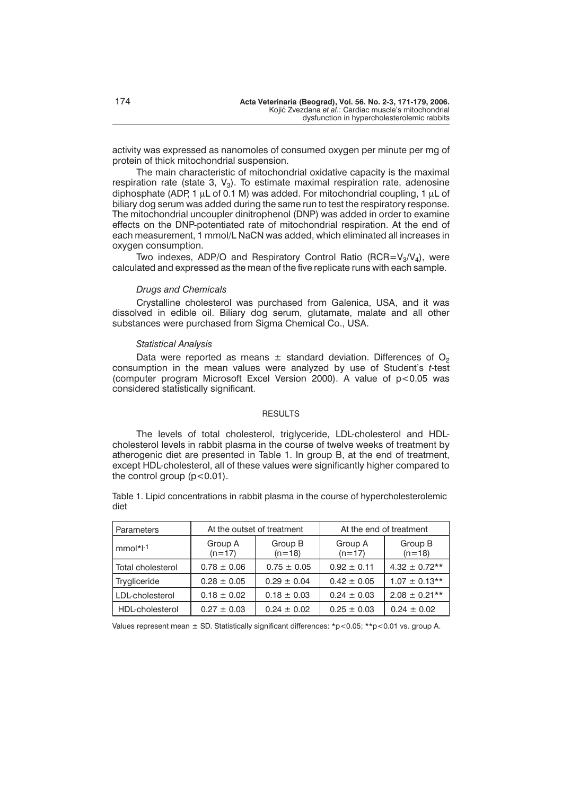activity was expressed as nanomoles of consumed oxygen per minute per mg of protein of thick mitochondrial suspension.

The main characteristic of mitochondrial oxidative capacity is the maximal respiration rate (state 3,  $V_3$ ). To estimate maximal respiration rate, adenosine diphosphate (ADP, 1  $\mu$ L of 0.1 M) was added. For mitochondrial coupling, 1  $\mu$ L of biliary dog serum was added during the same run to test the respiratory response. The mitochondrial uncoupler dinitrophenol (DNP) was added in order to examine effects on the DNP-potentiated rate of mitochondrial respiration. At the end of each measurement, 1 mmol/L NaCN was added, which eliminated all increases in oxygen consumption.

Two indexes, ADP/O and Respiratory Control Ratio (RCR= $V_3/V_4$ ), were calculated and expressed as the mean of the five replicate runs with each sample.

#### *Drugs and Chemicals*

Crystalline cholesterol was purchased from Galenica, USA, and it was dissolved in edible oil. Biliary dog serum, glutamate, malate and all other substances were purchased from Sigma Chemical Co., USA.

## *Statistical Analysis*

Data were reported as means  $\pm$  standard deviation. Differences of  $O<sub>2</sub>$ consumption in the mean values were analyzed by use of Student's *t*-test (computer program Microsoft Excel Version 2000). A value of  $p < 0.05$  was considered statistically significant.

#### **RESULTS**

The levels of total cholesterol, triglyceride, LDL-cholesterol and HDLcholesterol levels in rabbit plasma in the course of twelve weeks of treatment by atherogenic diet are presented in Table 1. In group B, at the end of treatment, except HDL-cholesterol, all of these values were significantly higher compared to the control group  $(p<0.01)$ .

Table 1. Lipid concentrations in rabbit plasma in the course of hypercholesterolemic diet

| Parameters        | At the outset of treatment |                     | At the end of treatment |                     |
|-------------------|----------------------------|---------------------|-------------------------|---------------------|
| $mmol*1-1$        | Group A<br>$(n=17)$        | Group B<br>$(n=18)$ | Group A<br>$(n=17)$     | Group B<br>$(n=18)$ |
| Total cholesterol | $0.78 \pm 0.06$            | $0.75 \pm 0.05$     | $0.92 \pm 0.11$         | $4.32 \pm 0.72**$   |
| Trygliceride      | $0.28 \pm 0.05$            | $0.29 \pm 0.04$     | $0.42 \pm 0.05$         | $1.07 \pm 0.13$ **  |
| LDL-cholesterol   | $0.18 \pm 0.02$            | $0.18 \pm 0.03$     | $0.24 \pm 0.03$         | $2.08 \pm 0.21***$  |
| HDL-cholesterol   | $0.27 \pm 0.03$            | $0.24 \pm 0.02$     | $0.25 \pm 0.03$         | $0.24 \pm 0.02$     |

Values represent mean  $\pm$  SD. Statistically significant differences: \*p<0.05; \*\*p<0.01 vs. group A.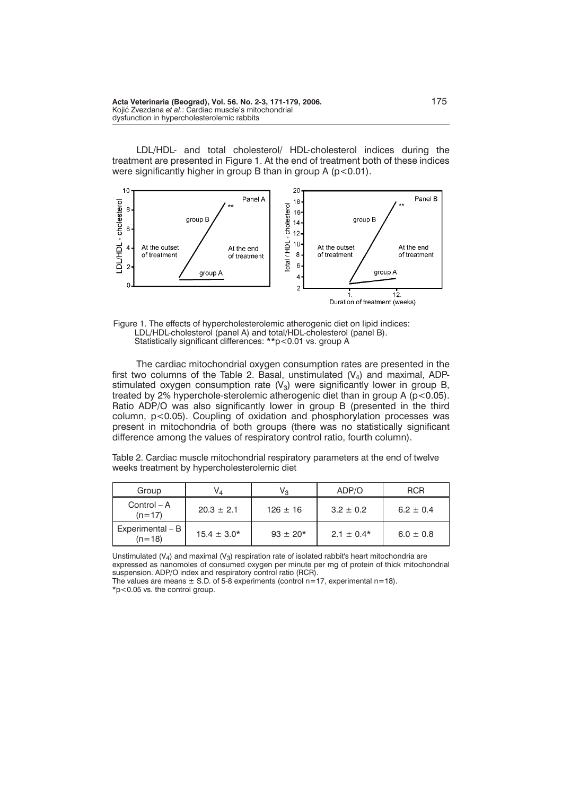LDL/HDL- and total cholesterol/ HDL-cholesterol indices during the treatment are presented in Figure 1. At the end of treatment both of these indices were significantly higher in group B than in group A (p<0.01).



Figure 1. The effects of hypercholesterolemic atherogenic diet on lipid indices: LDL/HDL-cholesterol (panel A) and total/HDL-cholesterol (panel B). Statistically significant differences: \*\*p<0.01 vs. group A

The cardiac mitochondrial oxygen consumption rates are presented in the first two columns of the Table 2. Basal, unstimulated  $(V_4)$  and maximal, ADPstimulated oxygen consumption rate  $(V_3)$  were significantly lower in group B, treated by 2% hyperchole-sterolemic atherogenic diet than in group A  $(p<0.05)$ . Ratio ADP/O was also significantly lower in group B (presented in the third column, p<0.05). Coupling of oxidation and phosphorylation processes was present in mitochondria of both groups (there was no statistically significant difference among the values of respiratory control ratio, fourth column).

Table 2. Cardiac muscle mitochondrial respiratory parameters at the end of twelve weeks treatment by hypercholesterolemic diet

| Group                          | V⊿              | Vз           | ADP/O          | <b>RCR</b>    |
|--------------------------------|-----------------|--------------|----------------|---------------|
| $Control - A$<br>$(n=17)$      | $20.3 \pm 2.1$  | $126 \pm 16$ | $3.2 \pm 0.2$  | $6.2 \pm 0.4$ |
| Experimental $- B$<br>$(n=18)$ | $15.4 \pm 3.0*$ | $93 \pm 20*$ | $2.1 \pm 0.4*$ | $6.0 \pm 0.8$ |

Unstimulated  $(V_4)$  and maximal  $(V_3)$  respiration rate of isolated rabbit's heart mitochondria are expressed as nanomoles of consumed oxygen per minute per mg of protein of thick mitochondrial suspension. ADP/O index and respiratory control ratio (RCR).

The values are means  $\pm$  S.D. of 5-8 experiments (control n=17, experimental n=18).

\*p<0.05 vs. the control group.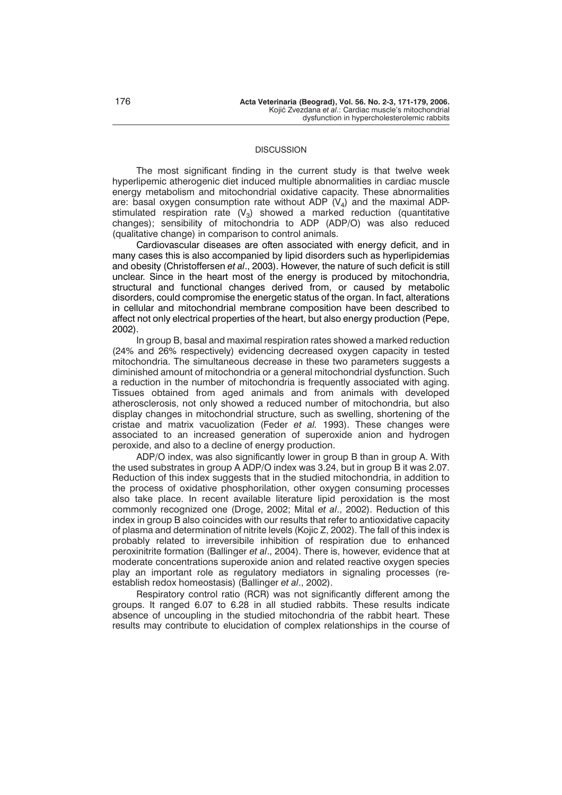## **DISCUSSION**

The most significant finding in the current study is that twelve week hyperlipemic atherogenic diet induced multiple abnormalities in cardiac muscle energy metabolism and mitochondrial oxidative capacity. These abnormalities are: basal oxygen consumption rate without ADP  $(V_4)$  and the maximal ADPstimulated respiration rate  $(V_3)$  showed a marked reduction (quantitative changes); sensibility of mitochondria to ADP (ADP/O) was also reduced (qualitative change) in comparison to control animals.

Cardiovascular diseases are often associated with energy deficit, and in many cases this is also accompanied by lipid disorders such as hyperlipidemias and obesity (Christoffersen *et al*., 2003). However, the nature of such deficit is still unclear. Since in the heart most of the energy is produced by mitochondria, structural and functional changes derived from, or caused by metabolic disorders, could compromise the energetic status of the organ. In fact, alterations in cellular and mitochondrial membrane composition have been described to affect not only electrical properties of the heart, but also energy production (Pepe, 2002).

In group B, basal and maximal respiration rates showed a marked reduction (24% and 26% respectively) evidencing decreased oxygen capacity in tested mitochondria. The simultaneous decrease in these two parameters suggests a diminished amount of mitochondria or a general mitochondrial dysfunction. Such a reduction in the number of mitochondria is frequently associated with aging. Tissues obtained from aged animals and from animals with developed atherosclerosis, not only showed a reduced number of mitochondria, but also display changes in mitochondrial structure, such as swelling, shortening of the cristae and matrix vacuolization (Feder *et al.* 1993). These changes were associated to an increased generation of superoxide anion and hydrogen peroxide, and also to a decline of energy production.

ADP/O index, was also significantly lower in group B than in group A. With the used substrates in group A ADP/O index was 3.24, but in group B it was 2.07. Reduction of this index suggests that in the studied mitochondria, in addition to the process of oxidative phosphorilation, other oxygen consuming processes also take place. In recent available literature lipid peroxidation is the most commonly recognized one (Droge, 2002; Mital *et al*., 2002). Reduction of this index in group B also coincides with our results that refer to antioxidative capacity of plasma and determination of nitrite levels (Kojic Z, 2002). The fall of this index is probably related to irreversibile inhibition of respiration due to enhanced peroxinitrite formation (Ballinger *et al*., 2004). There is, however, evidence that at moderate concentrations superoxide anion and related reactive oxygen species play an important role as regulatory mediators in signaling processes (reestablish redox homeostasis) (Ballinger *et al*., 2002).

Respiratory control ratio (RCR) was not significantly different among the groups. It ranged 6.07 to 6.28 in all studied rabbits. These results indicate absence of uncoupling in the studied mitochondria of the rabbit heart. These results may contribute to elucidation of complex relationships in the course of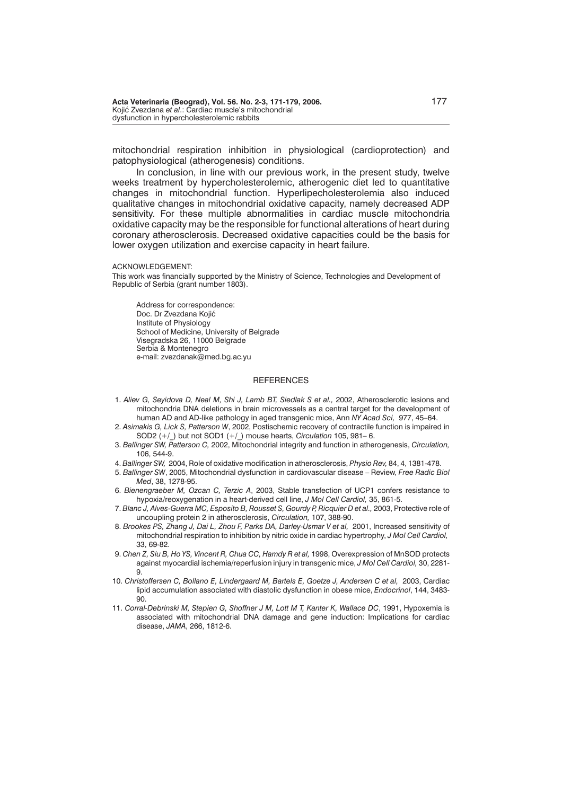mitochondrial respiration inhibition in physiological (cardioprotection) and patophysiological (atherogenesis) conditions.

In conclusion, in line with our previous work, in the present study, twelve weeks treatment by hypercholesterolemic, atherogenic diet led to quantitative changes in mitochondrial function. Hyperlipecholesterolemia also induced qualitative changes in mitochondrial oxidative capacity, namely decreased ADP sensitivity. For these multiple abnormalities in cardiac muscle mitochondria oxidative capacity may be the responsible for functional alterations of heart during coronary atherosclerosis. Decreased oxidative capacities could be the basis for lower oxygen utilization and exercise capacity in heart failure.

ACKNOWLEDGEMENT:

This work was financially supported by the Ministry of Science, Technologies and Development of Republic of Serbia (grant number 1803).

Address for correspondence: Doc. Dr Zvezdana Kojić Institute of Physiology School of Medicine, University of Belgrade Visegradska 26, 11000 Belgrade Serbia & Montenegro e-mail: zvezdanak@med.bg.ac.yu

## **REFERENCES**

- 1. *Aliev G, Seyidova D, Neal M, Shi J, Lamb BT, Siedlak S et al.,* 2002, Atherosclerotic lesions and mitochondria DNA deletions in brain microvessels as a central target for the development of human AD and AD-like pathology in aged transgenic mice, Ann *NY Acad Sci,* 977, 45–64.
- 2. *Asimakis G, Lick S, Patterson W*, 2002, Postischemic recovery of contractile function is impaired in SOD2 (+/\_) but not SOD1 (+/\_) mouse hearts, *Circulation* 105, 981– 6.
- 3. *Ballinger SW, Patterson C,* 2002, Mitochondrial integrity and function in atherogenesis, *Circulation,* 106, 544-9.
- 4. *Ballinger SW,* 2004, Role of oxidative modification in atherosclerosis, *Physio Rev,* 84, 4, 1381-478.
- 5. *Ballinger SW*, 2005, Mitochondrial dysfunction in cardiovascular disease Review, *Free Radic Biol Med*, 38, 1278-95.
- 6. *Bienengraeber M, Ozcan C, Terzic A*, 2003, Stable transfection of UCP1 confers resistance to hypoxia/reoxygenation in a heart-derived cell line, *J Mol Cell Cardiol,* 35, 861-5.
- 7. *Blanc J, Alves-Guerra MC, Esposito B, Rousset S, Gourdy P, Ricquier D et al.,* 2003, Protective role of uncoupling protein 2 in atherosclerosis, *Circulation,* 107, 388-90.
- 8. *Brookes PS, Zhang J, Dai L, Zhou F, Parks DA, Darley-Usmar V et al,* 2001, Increased sensitivity of mitochondrial respiration to inhibition by nitric oxide in cardiac hypertrophy, *J Mol Cell Cardiol,* 33, 69-82.
- 9. *Chen Z, Siu B, Ho YS, Vincent R, Chua CC, Hamdy R et al,* 1998, Overexpression of MnSOD protects against myocardial ischemia/reperfusion injury in transgenic mice, *J Mol Cell Cardiol,* 30, 2281- 9.
- 10. *Christoffersen C, Bollano E, Lindergaard M, Bartels E, Goetze J, Andersen C et al,* 2003, Cardiac lipid accumulation associated with diastolic dysfunction in obese mice, *Endocrinol*, 144, 3483- 90.
- 11. *Corral-Debrinski M, Stepien G, Shoffner J M, Lott M T, Kanter K, Wallace DC*, 1991, Hypoxemia is associated with mitochondrial DNA damage and gene induction: Implications for cardiac disease, *JAMA*, 266, 1812-6.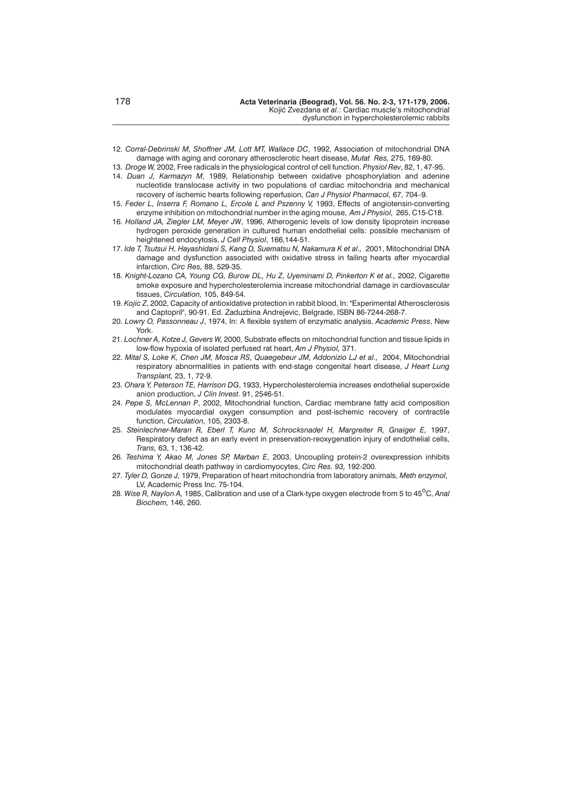- 12. *Corral-Debrinski M, Shoffner JM, Lott MT, Wallace DC*, 1992, Association of mitochondrial DNA damage with aging and coronary atherosclerotic heart disease, *Mutat Res,* 275, 169-80.
- 13. *Droge W,* 2002, Free radicals in the physiological control of cell function. *Physiol Rev*, 82, 1, 47-95.
- 14. *Duan J, Karmazyn M,* 1989, Relationship between oxidative phosphorylation and adenine nucleotide translocase activity in two populations of cardiac mitochondria and mechanical recovery of ischemic hearts following reperfusion, *Can J Physiol Pharmacol,* 67, 704–9.
- 15. *Feder L, Inserra F, Romano L, Ercole L and Pszenny V,* 1993, Effects of angiotensin-converting enzyme inhibition on mitochondrial number in the aging mouse, *Am J Physiol,* 265, C15-C18.
- 16. *Holland JA, Ziegler LM, Meyer JW*, 1996, Atherogenic levels of low density lipoprotein increase hydrogen peroxide generation in cultured human endothelial cells: possible mechanism of heightened endocytosis, *J Cell Physiol*, 166,144-51.
- 17. *Ide T, Tsutsui H, Hayashidani S, Kang D, Suematsu N, Nakamura K et al.,* 2001, Mitochondrial DNA damage and dysfunction associated with oxidative stress in failing hearts after myocardial infarction, *Circ Res,* 88, 529-35.
- 18. *Knight-Lozano CA, Young CG, Burow DL, Hu Z, Uyeminami D, Pinkerton K et al.,* 2002, Cigarette smoke exposure and hypercholesterolemia increase mitochondrial damage in cardiovascular tissues, *Circulation,* 105, 849-54.
- 19. *Kojic Z*, 2002, Capacity of antioxidative protection in rabbit blood, In: "Experimental Atherosclerosis and Captopril", 90-91. Ed. Zaduzbina Andrejevic, Belgrade, ISBN 86-7244-268-7.
- 20. *Lowry O, Passonneau J*, 1974, In: A flexible system of enzymatic analysis. *Academic Press*, New York.
- 21. *Lochner A, Kotze J, Gevers W,* 2000, Substrate effects on mitochondrial function and tissue lipids in low-flow hypoxia of isolated perfused rat heart, *Am J Physiol,* 371.
- 22. *Mital S, Loke K, Chen JM, Mosca RS, Quaegebeur JM, Addonizio LJ et al.,* 2004, Mitochondrial respiratory abnormalities in patients with end-stage congenital heart disease, *J Heart Lung Transplant,* 23, 1, 72-9.
- 23. *Ohara Y, Peterson TE, Harrison DG*, 1933, Hypercholesterolemia increases endothelial superoxide anion production, *J Clin Invest*. 91, 2546-51.
- 24. *Pepe S, McLennan P*, 2002, Mitochondrial function, Cardiac membrane fatty acid composition modulates myocardial oxygen consumption and post-ischemic recovery of contractile function, *Circulation,* 105, 2303-8.
- 25. *Steinlechner-Maran R, Eberl T, Kunc M, Schrocksnadel H, Margreiter R, Gnaiger E,* 1997, Respiratory defect as an early event in preservation-reoxygenation injury of endothelial cells, *Trans,* 63, 1, 136-42.
- 26. *Teshima Y, Akao M, Jones SP, Marban E*, 2003, Uncoupling protein-2 overexpression inhibits mitochondrial death pathway in cardiomyocytes, *Circ Res. 93,* 192-200.
- 27. *Tyler D, Gonze J,* 1979, Preparation of heart mitochondria from laboratory animals, *Meth enzymol,* LV, Academic Press Inc. 75-104.
- 28. Wise R, Naylon A, 1985, Calibration and use of a Clark-type oxygen electrode from 5 to 45<sup>o</sup>C, Anal *Biochem,* 146, 260.